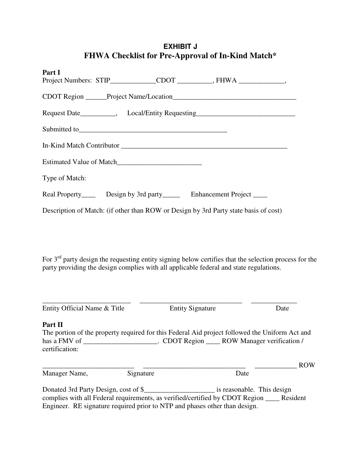## **EXHIBIT J FHWA Checklist for Pre-Approval of In-Kind Match\***

| Part I<br>Project Numbers: STIP____________CDOT __________, FHWA ____________,       |
|--------------------------------------------------------------------------------------|
|                                                                                      |
| Request Date___________, Local/Entity Requesting________________________________     |
| Submitted to                                                                         |
|                                                                                      |
|                                                                                      |
| Type of Match:                                                                       |
| Real Property_______ Design by 3rd party__________ Enhancement Project _______       |
| Description of Match: (if other than ROW or Design by 3rd Party state basis of cost) |

For 3<sup>rd</sup> party design the requesting entity signing below certifies that the selection process for the party providing the design complies with all applicable federal and state regulations.

| Entity Official Name & Title         |           | <b>Entity Signature</b>                                                                        | Date       |
|--------------------------------------|-----------|------------------------------------------------------------------------------------------------|------------|
| Part II<br>certification:            |           | The portion of the property required for this Federal Aid project followed the Uniform Act and |            |
| Manager Name,                        | Signature | Date                                                                                           | <b>ROW</b> |
| Donated 3rd Party Design, cost of \$ |           | is reasonable. This design                                                                     |            |

complies with all Federal requirements, as verified/certified by CDOT Region \_\_\_\_ Resident Engineer. RE signature required prior to NTP and phases other than design.